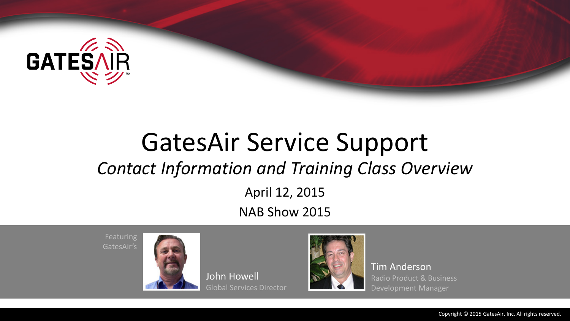

# GatesAir Service Support *Contact Information and Training Class Overview*

April 12, 2015

NAB Show 2015

Featuring GatesAir's



John Howell Global Services Director



Tim Anderson Radio Product & Business Development Manager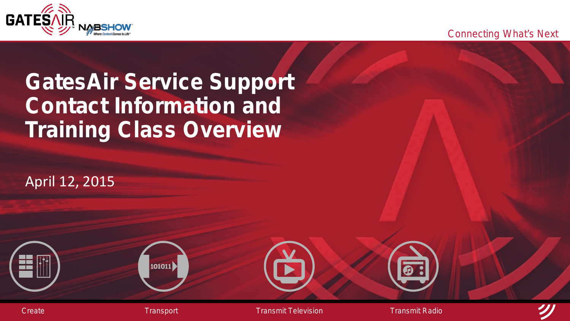Connecting What's Next



### **GatesAir Service Support Contact Information and Training Class Overview**

April 12, 2015

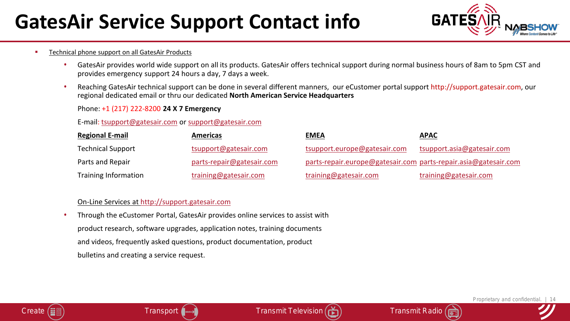### **GatesAir Service Support Contact info**



#### **Technical phone support on all GatesAir Products**

- GatesAir provides world wide support on all its products. GatesAir offers technical support during normal business hours of 8am to 5pm CST and provides emergency support 24 hours a day, 7 days a week.
- Reaching GatesAir technical support can be done in several different manners, our eCustomer portal support http://support.gatesair.com, our regional dedicated email or thru our dedicated **North American Service Headquarters**

#### Phone: +1 (217) 222-8200 **24 X 7 Emergency**

#### E-mail: [tsupport@gatesair.com](mailto:tsupport@gatesair.com) or [support@gatesair.com](mailto:support@gatesair.com)

| <b>Regional E-mail</b>   | Americas                  | <b>EMEA</b>                                                     | <u>APAC</u>                |
|--------------------------|---------------------------|-----------------------------------------------------------------|----------------------------|
| <b>Technical Support</b> | tsupport@gatesair.com     | tsupport.europe@gatesair.com                                    | tsupport.asia@gatesair.com |
| Parts and Repair         | parts-repair@gatesair.com | parts-repair.europe@gatesair.com_parts-repair.asia@gatesair.com |                            |
| Training Information     | training@gatesair.com     | training@gatesair.com                                           | training@gatesair.com      |

#### On-Line Services at [http://support.gatesair.com](http://support.gatesair.com/)

• Through the eCustomer Portal, GatesAir provides online services to assist with product research, software upgrades, application notes, training documents and videos, frequently asked questions, product documentation, product bulletins and creating a service request.





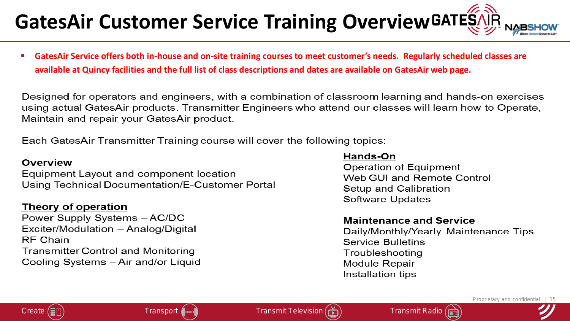## **GatesAir Customer Service Training OverviewGATESAL**

 **GatesAir Service offers both in-house and on-site training courses to meet customer's needs. Regularly scheduled classes are available at Quincy facilities and the full list of class descriptions and dates are available on GatesAir web page.** 

Designed for operators and engineers, with a combination of classroom learning and hands-on exercises using actual GatesAir products. Transmitter Engineers who attend our classes will learn how to Operate, Maintain and repair your GatesAir product.

Each GatesAir Transmitter Training course will cover the following topics:

#### **Overview**

Equipment Layout and component location Using Technical Documentation/E-Customer Portal

#### **Theory of operation**

Power Supply Systems - AC/DC Exciter/Modulation - Analog/Digital RF Chain **Transmitter Control and Monitoring** Cooling Systems - Air and/or Liquid

#### Hands-On

Operation of Equipment Web GUI and Remote Control Setup and Calibration Software Updates

#### **Maintenance and Service**

Daily/Monthly/Yearly Maintenance Tips **Service Bulletins** Troubleshooting Module Repair Installation tips

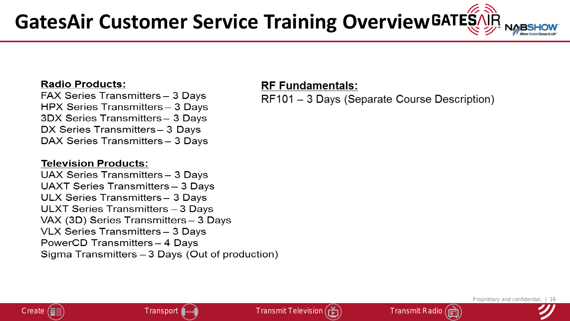#### **Radio Products:**

FAX Series Transmitters - 3 Days HPX Series Transmitters - 3 Days 3DX Series Transmitters-3 Days DX Series Transmitters - 3 Days DAX Series Transmitters - 3 Days

#### **Television Products:**

UAX Series Transmitters - 3 Days UAXT Series Transmitters - 3 Days ULX Series Transmitters - 3 Days ULXT Series Transmitters - 3 Days VAX (3D) Series Transmitters - 3 Days VLX Series Transmitters - 3 Days PowerCD Transmitters - 4 Days Sigma Transmitters - 3 Days (Out of production)

#### **RF Fundamentals:**

RF101 - 3 Days (Separate Course Description)





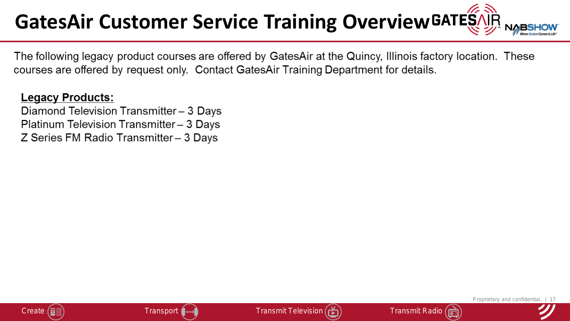## **GatesAir Customer Service Training Overview**

The following legacy product courses are offered by GatesAir at the Quincy, Illinois factory location. These courses are offered by request only. Contact GatesAir Training Department for details.

#### **Legacy Products:**

Diamond Television Transmitter - 3 Days Platinum Television Transmitter - 3 Days Z Series FM Radio Transmitter - 3 Days





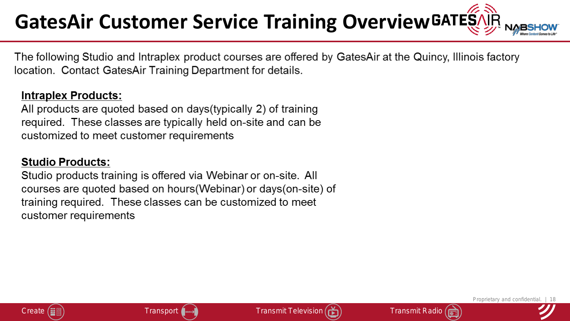## **GatesAir Customer Service Training Overview**

The following Studio and Intraplex product courses are offered by GatesAir at the Quincy, Illinois factory location. Contact GatesAir Training Department for details.

#### **Intraplex Products:**

All products are quoted based on days (typically 2) of training required. These classes are typically held on-site and can be customized to meet customer requirements

#### **Studio Products:**

Studio products training is offered via Webinar or on-site. All courses are quoted based on hours(Webinar) or days(on-site) of training required. These classes can be customized to meet customer requirements